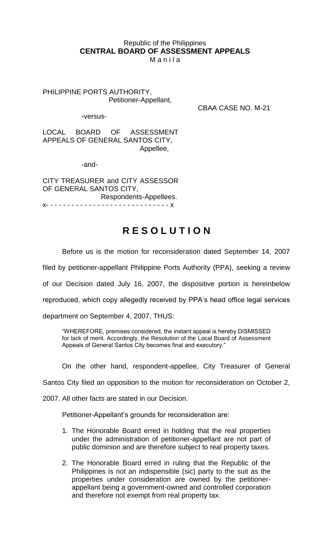# Republic of the Philippines **CENTRAL BOARD OF ASSESSMENT APPEALS**

M a n i l a

PHILIPPINE PORTS AUTHORITY, Petitioner-Appellant,

-versus-

CBAA CASE NO. M-21

LOCAL BOARD OF ASSESSMENT APPEALS OF GENERAL SANTOS CITY, Appellee,

-and-

CITY TREASURER and CITY ASSESSOR OF GENERAL SANTOS CITY, Respondents-Appellees. x- - - - - - - - - - - - - - - - - - - - - - - - - - - - - x

# **R E S O L U T I O N**

Before us is the motion for reconsideration dated September 14, 2007

filed by petitioner-appellant Philippine Ports Authority (PPA), seeking a review

of our Decision dated July 16, 2007, the dispositive portion is hereinbelow

reproduced, which copy allegedly received by PPA's head office legal services

department on September 4, 2007, THUS:

"WHEREFORE, premises considered, the instant appeal is hereby DISMISSED for lack of merit. Accordingly, the Resolution of the Local Board of Assessment Appeals of General Santos City becomes final and executory."

On the other hand, respondent-appellee, City Treasurer of General

Santos City filed an opposition to the motion for reconsideration on October 2,

2007. All other facts are stated in our Decision.

Petitioner-Appellant's grounds for reconsideration are:

- 1. The Honorable Board erred in holding that the real properties under the administration of petitioner-appellant are not part of public dominion and are therefore subject to real property taxes.
- 2. The Honorable Board erred in ruling that the Republic of the Philippines is not an indispensible (sic) party to the suit as the properties under consideration are owned by the petitionerappellant being a government-owned and controlled corporation and therefore not exempt from real property tax.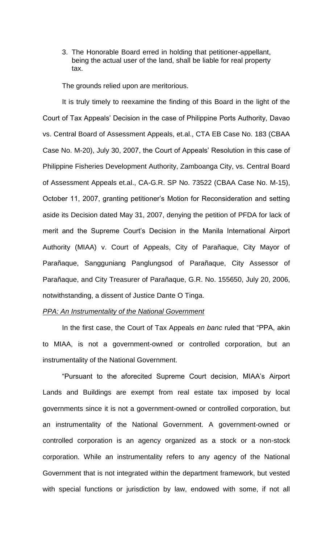3. The Honorable Board erred in holding that petitioner-appellant, being the actual user of the land, shall be liable for real property tax.

The grounds relied upon are meritorious.

It is truly timely to reexamine the finding of this Board in the light of the Court of Tax Appeals' Decision in the case of Philippine Ports Authority, Davao vs. Central Board of Assessment Appeals, et.al., CTA EB Case No. 183 (CBAA Case No. M-20), July 30, 2007, the Court of Appeals' Resolution in this case of Philippine Fisheries Development Authority, Zamboanga City, vs. Central Board of Assessment Appeals et.al., CA-G.R. SP No. 73522 (CBAA Case No. M-15), October 11, 2007, granting petitioner's Motion for Reconsideration and setting aside its Decision dated May 31, 2007, denying the petition of PFDA for lack of merit and the Supreme Court's Decision in the Manila International Airport Authority (MIAA) v. Court of Appeals, City of Parañaque, City Mayor of Parañaque, Sangguniang Panglungsod of Parañaque, City Assessor of Parañaque, and City Treasurer of Parañaque, G.R. No. 155650, July 20, 2006, notwithstanding, a dissent of Justice Dante O Tinga.

#### *PPA: An Instrumentality of the National Government*

In the first case, the Court of Tax Appeals *en banc* ruled that "PPA, akin to MIAA, is not a government-owned or controlled corporation, but an instrumentality of the National Government.

"Pursuant to the aforecited Supreme Court decision, MIAA's Airport Lands and Buildings are exempt from real estate tax imposed by local governments since it is not a government-owned or controlled corporation, but an instrumentality of the National Government. A government-owned or controlled corporation is an agency organized as a stock or a non-stock corporation. While an instrumentality refers to any agency of the National Government that is not integrated within the department framework, but vested with special functions or jurisdiction by law, endowed with some, if not all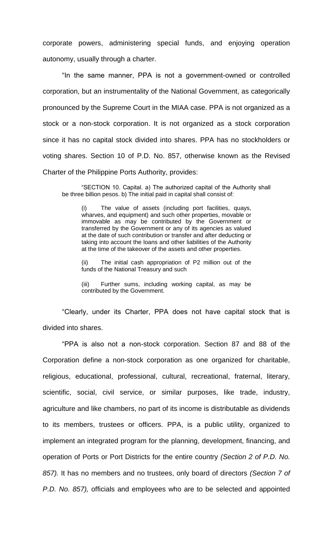corporate powers, administering special funds, and enjoying operation autonomy, usually through a charter.

"In the same manner, PPA is not a government-owned or controlled corporation, but an instrumentality of the National Government, as categorically pronounced by the Supreme Court in the MIAA case. PPA is not organized as a stock or a non-stock corporation. It is not organized as a stock corporation since it has no capital stock divided into shares. PPA has no stockholders or voting shares. Section 10 of P.D. No. 857, otherwise known as the Revised Charter of the Philippine Ports Authority, provides:

"SECTION 10. Capital. a) The authorized capital of the Authority shall be three billion pesos. b) The initial paid in capital shall consist of:

(i) The value of assets (including port facilities, quays, wharves, and equipment) and such other properties, movable or immovable as may be contributed by the Government or transferred by the Government or any of its agencies as valued at the date of such contribution or transfer and after deducting or taking into account the loans and other liabilities of the Authority at the time of the takeover of the assets and other properties.

(ii) The initial cash appropriation of P2 million out of the funds of the National Treasury and such

(iii) Further sums, including working capital, as may be contributed by the Government.

"Clearly, under its Charter, PPA does not have capital stock that is divided into shares.

"PPA is also not a non-stock corporation. Section 87 and 88 of the Corporation define a non-stock corporation as one organized for charitable, religious, educational, professional, cultural, recreational, fraternal, literary, scientific, social, civil service, or similar purposes, like trade, industry, agriculture and like chambers, no part of its income is distributable as dividends to its members, trustees or officers. PPA, is a public utility, organized to implement an integrated program for the planning, development, financing, and operation of Ports or Port Districts for the entire country *(Section 2 of P.D. No. 857).* It has no members and no trustees, only board of directors *(Section 7 of P.D. No. 857),* officials and employees who are to be selected and appointed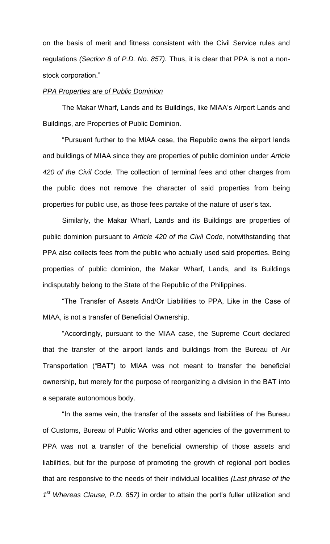on the basis of merit and fitness consistent with the Civil Service rules and regulations *(Section 8 of P.D. No. 857).* Thus, it is clear that PPA is not a nonstock corporation."

#### *PPA Properties are of Public Dominion*

The Makar Wharf, Lands and its Buildings, like MIAA's Airport Lands and Buildings, are Properties of Public Dominion.

"Pursuant further to the MIAA case, the Republic owns the airport lands and buildings of MIAA since they are properties of public dominion under *Article 420 of the Civil Code.* The collection of terminal fees and other charges from the public does not remove the character of said properties from being properties for public use, as those fees partake of the nature of user's tax.

Similarly, the Makar Wharf, Lands and its Buildings are properties of public dominion pursuant to *Article 420 of the Civil Code,* notwithstanding that PPA also collects fees from the public who actually used said properties. Being properties of public dominion, the Makar Wharf, Lands, and its Buildings indisputably belong to the State of the Republic of the Philippines.

"The Transfer of Assets And/Or Liabilities to PPA, Like in the Case of MIAA, is not a transfer of Beneficial Ownership.

"Accordingly, pursuant to the MIAA case, the Supreme Court declared that the transfer of the airport lands and buildings from the Bureau of Air Transportation ("BAT") to MIAA was not meant to transfer the beneficial ownership, but merely for the purpose of reorganizing a division in the BAT into a separate autonomous body.

"In the same vein, the transfer of the assets and liabilities of the Bureau of Customs, Bureau of Public Works and other agencies of the government to PPA was not a transfer of the beneficial ownership of those assets and liabilities, but for the purpose of promoting the growth of regional port bodies that are responsive to the needs of their individual localities *(Last phrase of the 1 st Whereas Clause, P.D. 857)* in order to attain the port's fuller utilization and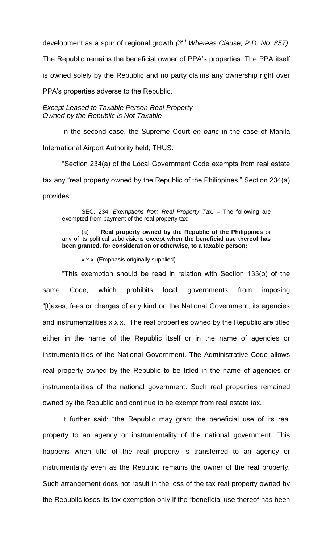development as a spur of regional growth *(3 rd Whereas Clause, P.D. No. 857).* 

The Republic remains the beneficial owner of PPA's properties. The PPA itself is owned solely by the Republic and no party claims any ownership right over PPA's properties adverse to the Republic.

### *Except Leased to Taxable Person Real Property Owned by the Republic is Not Taxable*

In the second case, the Supreme Court *en banc* in the case of Manila International Airport Authority held, THUS:

"Section 234(a) of the Local Government Code exempts from real estate tax any "real property owned by the Republic of the Philippines." Section 234(a) provides:

SEC. 234. *Exemptions from Real Property Tax.* – The following are exempted from payment of the real property tax:

#### (a) **Real property owned by the Republic of the Philippines** or any of its political subdivisions **except when the beneficial use thereof has been granted, for consideration or otherwise, to a taxable person;**

x x x. (Emphasis originally supplied)

"This exemption should be read in relation with Section 133(o) of the same Code, which prohibits local governments from imposing "[t]axes, fees or charges of any kind on the National Government, its agencies and instrumentalities x x x." The real properties owned by the Republic are titled either in the name of the Republic itself or in the name of agencies or instrumentalities of the National Government. The Administrative Code allows real property owned by the Republic to be titled in the name of agencies or instrumentalities of the national government. Such real properties remained owned by the Republic and continue to be exempt from real estate tax.

It further said: "the Republic may grant the beneficial use of its real property to an agency or instrumentality of the national government. This happens when title of the real property is transferred to an agency or instrumentality even as the Republic remains the owner of the real property. Such arrangement does not result in the loss of the tax real property owned by the Republic loses its tax exemption only if the "beneficial use thereof has been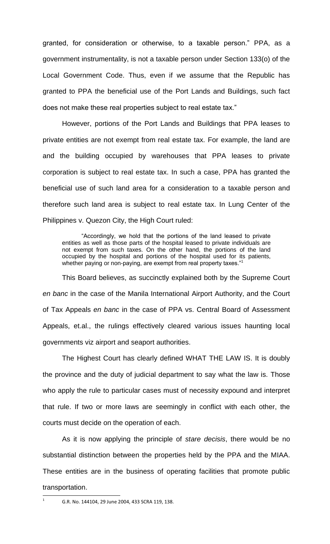granted, for consideration or otherwise, to a taxable person." PPA, as a government instrumentality, is not a taxable person under Section 133(o) of the Local Government Code. Thus, even if we assume that the Republic has granted to PPA the beneficial use of the Port Lands and Buildings, such fact does not make these real properties subject to real estate tax."

However, portions of the Port Lands and Buildings that PPA leases to private entities are not exempt from real estate tax. For example, the land are and the building occupied by warehouses that PPA leases to private corporation is subject to real estate tax. In such a case, PPA has granted the beneficial use of such land area for a consideration to a taxable person and therefore such land area is subject to real estate tax. In Lung Center of the Philippines v. Quezon City, the High Court ruled:

"Accordingly, we hold that the portions of the land leased to private entities as well as those parts of the hospital leased to private individuals are not exempt from such taxes. On the other hand, the portions of the land occupied by the hospital and portions of the hospital used for its patients, whether paying or non-paying, are exempt from real property taxes."<sup>1</sup>

This Board believes, as succinctly explained both by the Supreme Court *en banc* in the case of the Manila International Airport Authority, and the Court of Tax Appeals *en banc* in the case of PPA vs. Central Board of Assessment Appeals, et.al., the rulings effectively cleared various issues haunting local governments viz airport and seaport authorities.

The Highest Court has clearly defined WHAT THE LAW IS. It is doubly the province and the duty of judicial department to say what the law is. Those who apply the rule to particular cases must of necessity expound and interpret that rule. If two or more laws are seemingly in conflict with each other, the courts must decide on the operation of each.

As it is now applying the principle of *stare decisis*, there would be no substantial distinction between the properties held by the PPA and the MIAA. These entities are in the business of operating facilities that promote public transportation.  $\overline{\phantom{a}}$ 

<sup>1</sup>

G.R. No. 144104, 29 June 2004, 433 SCRA 119, 138.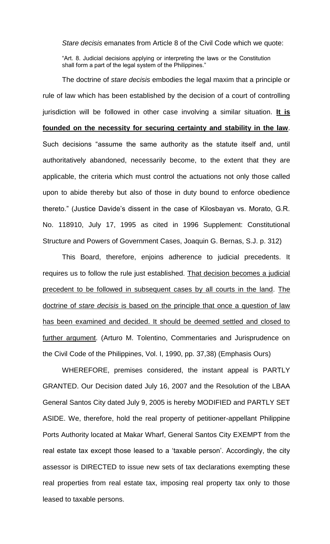*Stare decisis* emanates from Article 8 of the Civil Code which we quote:

"Art. 8. Judicial decisions applying or interpreting the laws or the Constitution shall form a part of the legal system of the Philippines."

The doctrine of *stare decisis* embodies the legal maxim that a principle or rule of law which has been established by the decision of a court of controlling jurisdiction will be followed in other case involving a similar situation. **It is founded on the necessity for securing certainty and stability in the law**. Such decisions "assume the same authority as the statute itself and, until authoritatively abandoned, necessarily become, to the extent that they are applicable, the criteria which must control the actuations not only those called upon to abide thereby but also of those in duty bound to enforce obedience thereto." (Justice Davide's dissent in the case of Kilosbayan vs. Morato, G.R. No. 118910, July 17, 1995 as cited in 1996 Supplement: Constitutional Structure and Powers of Government Cases, Joaquin G. Bernas, S.J. p. 312)

This Board, therefore, enjoins adherence to judicial precedents. It requires us to follow the rule just established. That decision becomes a judicial precedent to be followed in subsequent cases by all courts in the land. The doctrine of *stare decisis* is based on the principle that once a question of law has been examined and decided. It should be deemed settled and closed to further argument. (Arturo M. Tolentino, Commentaries and Jurisprudence on the Civil Code of the Philippines, Vol. I, 1990, pp. 37,38) (Emphasis Ours)

WHEREFORE, premises considered, the instant appeal is PARTLY GRANTED. Our Decision dated July 16, 2007 and the Resolution of the LBAA General Santos City dated July 9, 2005 is hereby MODIFIED and PARTLY SET ASIDE. We, therefore, hold the real property of petitioner-appellant Philippine Ports Authority located at Makar Wharf, General Santos City EXEMPT from the real estate tax except those leased to a 'taxable person'. Accordingly, the city assessor is DIRECTED to issue new sets of tax declarations exempting these real properties from real estate tax, imposing real property tax only to those leased to taxable persons.